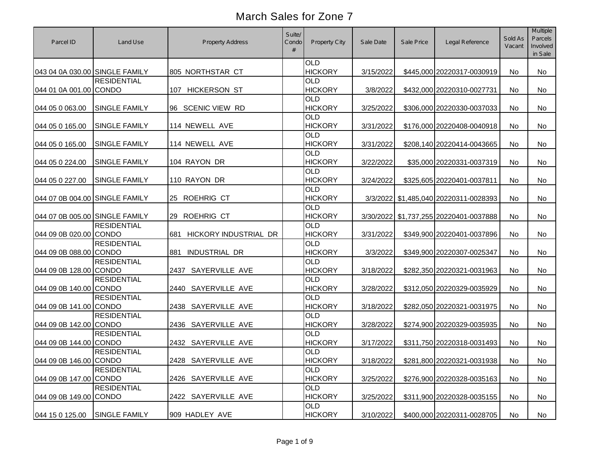| Parcel ID                      | Land Use             | <b>Property Address</b>      | Suite/<br>Condo<br># | <b>Property City</b>         | Sale Date | Sale Price | Legal Reference                        | Sold As<br>Vacant | <b>Multiple</b><br>Parcels<br>Involved<br>in Sale |
|--------------------------------|----------------------|------------------------------|----------------------|------------------------------|-----------|------------|----------------------------------------|-------------------|---------------------------------------------------|
| 043 04 0A 030.00 SINGLE FAMILY |                      | 805 NORTHSTAR CT             |                      | <b>OLD</b><br><b>HICKORY</b> | 3/15/2022 |            | \$445,000 20220317-0030919             | No                | <b>No</b>                                         |
|                                | <b>RESIDENTIAL</b>   |                              |                      | <b>OLD</b><br><b>HICKORY</b> |           |            |                                        |                   |                                                   |
| 044 01 0A 001.00 CONDO         |                      | 107 HICKERSON ST             |                      | <b>OLD</b>                   | 3/8/2022  |            | \$432,000 20220310-0027731             | No                | No                                                |
| 044 05 0 063.00                | <b>SINGLE FAMILY</b> | 96 SCENIC VIEW RD            |                      | <b>HICKORY</b>               | 3/25/2022 |            | \$306,000 20220330-0037033             | No                | No                                                |
| 044 05 0 165.00                | <b>SINGLE FAMILY</b> | 114 NEWELL AVE               |                      | <b>OLD</b><br><b>HICKORY</b> | 3/31/2022 |            | \$176,000 20220408-0040918             | No                | <b>No</b>                                         |
| 044 05 0 165.00                | <b>SINGLE FAMILY</b> | 114 NEWELL AVE               |                      | <b>OLD</b><br><b>HICKORY</b> | 3/31/2022 |            | \$208,140 20220414-0043665             | No                | No                                                |
| 044 05 0 224.00                | <b>SINGLE FAMILY</b> | 104 RAYON DR                 |                      | <b>OLD</b><br><b>HICKORY</b> | 3/22/2022 |            | \$35,000 20220331-0037319              | No                | No                                                |
| 044 05 0 227.00                | <b>SINGLE FAMILY</b> | 110 RAYON DR                 |                      | <b>OLD</b><br><b>HICKORY</b> | 3/24/2022 |            | \$325,605 20220401-0037811             | No                | No                                                |
| 044 07 0B 004.00 SINGLE FAMILY |                      | 25 ROEHRIG CT                |                      | <b>OLD</b><br><b>HICKORY</b> |           |            | 3/3/2022 \$1,485,040 20220311-0028393  | No                | No                                                |
| 044 07 0B 005.00 SINGLE FAMILY |                      | 29 ROEHRIG CT                |                      | <b>OLD</b><br><b>HICKORY</b> |           |            | 3/30/2022 \$1,737,255 20220401-0037888 | No                | No                                                |
| 044 09 0B 020.00 CONDO         | <b>RESIDENTIAL</b>   | HICKORY INDUSTRIAL DR<br>681 |                      | <b>OLD</b><br><b>HICKORY</b> | 3/31/2022 |            | \$349,900 20220401-0037896             | No                | No                                                |
| 044 09 0B 088.00 CONDO         | <b>RESIDENTIAL</b>   | <b>INDUSTRIAL DR</b><br>881  |                      | <b>OLD</b><br><b>HICKORY</b> | 3/3/2022  |            | \$349,900 20220307-0025347             | No                | No                                                |
| 044 09 0B 128.00 CONDO         | <b>RESIDENTIAL</b>   | 2437 SAYERVILLE AVE          |                      | <b>OLD</b><br><b>HICKORY</b> | 3/18/2022 |            | \$282,350 20220321-0031963             | No                | No                                                |
| 044 09 0B 140.00 CONDO         | <b>RESIDENTIAL</b>   | 2440 SAYERVILLE AVE          |                      | <b>OLD</b><br><b>HICKORY</b> | 3/28/2022 |            | \$312,050 20220329-0035929             | No                | <b>No</b>                                         |
| 044 09 0B 141.00 CONDO         | <b>RESIDENTIAL</b>   | 2438 SAYERVILLE AVE          |                      | <b>OLD</b><br><b>HICKORY</b> | 3/18/2022 |            | \$282,050 20220321-0031975             | No                | No                                                |
| 044 09 0B 142.00 CONDO         | <b>RESIDENTIAL</b>   | 2436 SAYERVILLE AVE          |                      | <b>OLD</b><br><b>HICKORY</b> | 3/28/2022 |            | \$274,900 20220329-0035935             | No                | No                                                |
| 044 09 0B 144.00 CONDO         | <b>RESIDENTIAL</b>   | 2432 SAYERVILLE AVE          |                      | <b>OLD</b><br><b>HICKORY</b> | 3/17/2022 |            | \$311,750 20220318-0031493             | No                | No                                                |
| 044 09 0B 146.00 CONDO         | <b>RESIDENTIAL</b>   | 2428 SAYERVILLE AVE          |                      | <b>OLD</b><br><b>HICKORY</b> | 3/18/2022 |            | \$281,800 20220321-0031938             | No                | No                                                |
| 044 09 0B 147.00 CONDO         | <b>RESIDENTIAL</b>   | 2426 SAYERVILLE AVE          |                      | <b>OLD</b><br><b>HICKORY</b> | 3/25/2022 |            | \$276,900 20220328-0035163             | No                | No                                                |
| 044 09 0B 149.00 CONDO         | <b>RESIDENTIAL</b>   | 2422 SAYERVILLE AVE          |                      | <b>OLD</b><br><b>HICKORY</b> | 3/25/2022 |            | \$311,900 20220328-0035155             | No                | No                                                |
| 044 15 0 125.00                | <b>SINGLE FAMILY</b> | 909 HADLEY AVE               |                      | <b>OLD</b><br><b>HICKORY</b> | 3/10/2022 |            | \$400,000 20220311-0028705             | No                | No                                                |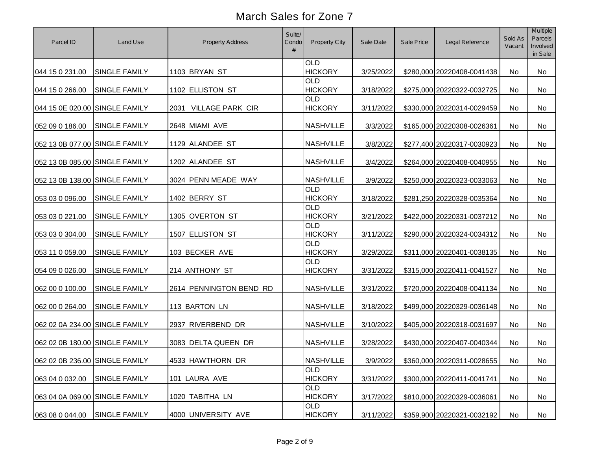| Parcel ID                      | Land Use             | <b>Property Address</b>         | Suite/<br>Condo | Property City                | Sale Date | Sale Price | Legal Reference            | Sold As<br>Vacant | <b>Multiple</b><br>Parcels<br>Involved<br>in Sale |
|--------------------------------|----------------------|---------------------------------|-----------------|------------------------------|-----------|------------|----------------------------|-------------------|---------------------------------------------------|
| 044 15 0 231.00                | <b>SINGLE FAMILY</b> | 1103 BRYAN ST                   |                 | <b>OLD</b><br><b>HICKORY</b> | 3/25/2022 |            | \$280,000 20220408-0041438 | No                | No                                                |
| 044 15 0 266.00                | <b>SINGLE FAMILY</b> | 1102 ELLISTON ST                |                 | <b>OLD</b><br><b>HICKORY</b> | 3/18/2022 |            | \$275,000 20220322-0032725 | No                | No                                                |
| 044 15 0E 020.00 SINGLE FAMILY |                      | <b>VILLAGE PARK CIR</b><br>2031 |                 | <b>OLD</b><br><b>HICKORY</b> | 3/11/2022 |            | \$330,000 20220314-0029459 | No                | <b>No</b>                                         |
| 052 09 0 186.00                | <b>SINGLE FAMILY</b> | 2648 MIAMI AVE                  |                 | <b>NASHVILLE</b>             | 3/3/2022  |            | \$165,000 20220308-0026361 | No                | No                                                |
| 052 13 0B 077.00 SINGLE FAMILY |                      | 1129 ALANDEE ST                 |                 | <b>NASHVILLE</b>             | 3/8/2022  |            | \$277,400 20220317-0030923 | No                | No                                                |
| 052 13 0B 085.00 SINGLE FAMILY |                      | 1202 ALANDEE ST                 |                 | <b>NASHVILLE</b>             | 3/4/2022  |            | \$264,000 20220408-0040955 | No                | No                                                |
| 052 13 0B 138.00 SINGLE FAMILY |                      | 3024 PENN MEADE WAY             |                 | <b>NASHVILLE</b>             | 3/9/2022  |            | \$250,000 20220323-0033063 | No                | No                                                |
| 053 03 0 096.00                | <b>SINGLE FAMILY</b> | 1402 BERRY ST                   |                 | <b>OLD</b><br><b>HICKORY</b> | 3/18/2022 |            | \$281,250 20220328-0035364 | No                | No                                                |
| 053 03 0 221.00                | <b>SINGLE FAMILY</b> | 1305 OVERTON ST                 |                 | <b>OLD</b><br><b>HICKORY</b> | 3/21/2022 |            | \$422,000 20220331-0037212 | No                | No                                                |
| 053 03 0 304.00                | <b>SINGLE FAMILY</b> | 1507 ELLISTON ST                |                 | <b>OLD</b><br><b>HICKORY</b> | 3/11/2022 |            | \$290,000 20220324-0034312 | No                | No                                                |
| 053 11 0 059.00                | <b>SINGLE FAMILY</b> | 103 BECKER AVE                  |                 | <b>OLD</b><br><b>HICKORY</b> | 3/29/2022 |            | \$311,000 20220401-0038135 | No                | No                                                |
| 054 09 0 026.00                | <b>SINGLE FAMILY</b> | 214 ANTHONY ST                  |                 | <b>OLD</b><br><b>HICKORY</b> | 3/31/2022 |            | \$315,000 20220411-0041527 | No                | No                                                |
| 062 00 0 100.00                | <b>SINGLE FAMILY</b> | 2614 PENNINGTON BEND RD         |                 | <b>NASHVILLE</b>             | 3/31/2022 |            | \$720,000 20220408-0041134 | No                | No                                                |
| 062 00 0 264.00                | <b>SINGLE FAMILY</b> | 113 BARTON LN                   |                 | <b>NASHVILLE</b>             | 3/18/2022 |            | \$499,000 20220329-0036148 | <b>No</b>         | <b>No</b>                                         |
| 062 02 0A 234.00 SINGLE FAMILY |                      | 2937 RIVERBEND DR               |                 | <b>NASHVILLE</b>             | 3/10/2022 |            | \$405,000 20220318-0031697 | <b>No</b>         | <b>No</b>                                         |
| 062 02 0B 180.00 SINGLE FAMILY |                      | 3083 DELTA QUEEN DR             |                 | <b>NASHVILLE</b>             | 3/28/2022 |            | \$430,000 20220407-0040344 | No                | No                                                |
| 062 02 0B 236.00 SINGLE FAMILY |                      | 4533 HAWTHORN DR                |                 | <b>NASHVILLE</b>             | 3/9/2022  |            | \$360,000 20220311-0028655 | No                | No                                                |
| 063 04 0 032.00                | <b>SINGLE FAMILY</b> | 101 LAURA AVE                   |                 | <b>OLD</b><br><b>HICKORY</b> | 3/31/2022 |            | \$300,000 20220411-0041741 | No                | No                                                |
| 063 04 0A 069.00 SINGLE FAMILY |                      | 1020 TABITHA LN                 |                 | <b>OLD</b><br><b>HICKORY</b> | 3/17/2022 |            | \$810,000 20220329-0036061 | No                | No                                                |
| 063 08 0 044.00                | <b>SINGLE FAMILY</b> | 4000 UNIVERSITY AVE             |                 | <b>OLD</b><br><b>HICKORY</b> | 3/11/2022 |            | \$359,900 20220321-0032192 | No                | No                                                |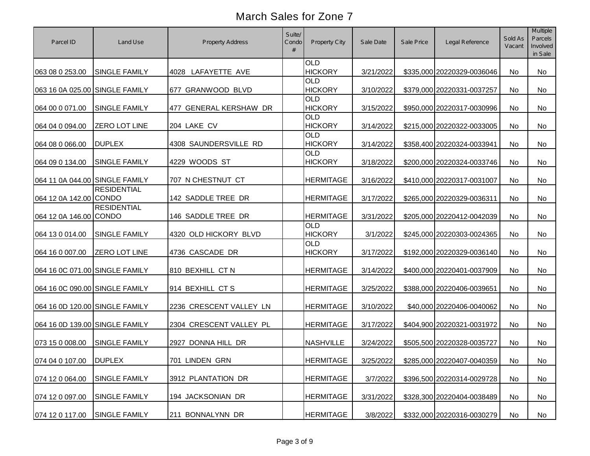| Parcel ID                      | Land Use             | <b>Property Address</b> | Suite/<br>Condo | <b>Property City</b>         | Sale Date | Sale Price | Legal Reference            | Sold As<br>Vacant | Multiple<br>Parcels<br>Involved<br>in Sale |
|--------------------------------|----------------------|-------------------------|-----------------|------------------------------|-----------|------------|----------------------------|-------------------|--------------------------------------------|
| 063 08 0 253.00                | <b>SINGLE FAMILY</b> | 4028 LAFAYETTE AVE      |                 | <b>OLD</b><br><b>HICKORY</b> | 3/21/2022 |            | \$335,000 20220329-0036046 | No                | No                                         |
| 063 16 0A 025.00 SINGLE FAMILY |                      | 677 GRANWOOD BLVD       |                 | <b>OLD</b><br><b>HICKORY</b> | 3/10/2022 |            | \$379,000 20220331-0037257 | No                | No                                         |
| 064 00 0 071.00                | <b>SINGLE FAMILY</b> | 477 GENERAL KERSHAW DR  |                 | <b>OLD</b><br><b>HICKORY</b> | 3/15/2022 |            | \$950,000 20220317-0030996 | No                | No                                         |
| 064 04 0 094.00                | <b>ZERO LOT LINE</b> | 204 LAKE CV             |                 | <b>OLD</b><br><b>HICKORY</b> | 3/14/2022 |            | \$215,000 20220322-0033005 | No                | No                                         |
| 064 08 0 066.00                | <b>DUPLEX</b>        | 4308 SAUNDERSVILLE RD   |                 | <b>OLD</b><br><b>HICKORY</b> | 3/14/2022 |            | \$358,400 20220324-0033941 | No                | No                                         |
| 064 09 0 134.00                | <b>SINGLE FAMILY</b> | 4229 WOODS ST           |                 | <b>OLD</b><br><b>HICKORY</b> | 3/18/2022 |            | \$200,000 20220324-0033746 | No                | No                                         |
| 064 11 0A 044.00 SINGLE FAMILY |                      | 707 N CHESTNUT CT       |                 | <b>HERMITAGE</b>             | 3/16/2022 |            | \$410,000 20220317-0031007 | No                | No                                         |
| 064 12 0A 142.00 CONDO         | <b>RESIDENTIAL</b>   | 142 SADDLE TREE DR      |                 | <b>HERMITAGE</b>             | 3/17/2022 |            | \$265,000 20220329-0036311 | No                | No                                         |
| 064 12 0A 146.00 CONDO         | <b>RESIDENTIAL</b>   | 146 SADDLE TREE DR      |                 | <b>HERMITAGE</b>             | 3/31/2022 |            | \$205,000 20220412-0042039 | No                | No                                         |
| 064 13 0 014.00                | <b>SINGLE FAMILY</b> | 4320 OLD HICKORY BLVD   |                 | <b>OLD</b><br><b>HICKORY</b> | 3/1/2022  |            | \$245,000 20220303-0024365 | No                | No                                         |
| 064 16 0 007.00                | <b>ZERO LOT LINE</b> | 4736 CASCADE DR         |                 | <b>OLD</b><br><b>HICKORY</b> | 3/17/2022 |            | \$192,000 20220329-0036140 | No                | No                                         |
| 064 16 0C 071.00 SINGLE FAMILY |                      | 810 BEXHILL CT N        |                 | <b>HERMITAGE</b>             | 3/14/2022 |            | \$400,000 20220401-0037909 | No                | No                                         |
| 064 16 0C 090.00 SINGLE FAMILY |                      | 914 BEXHILL CTS         |                 | <b>HERMITAGE</b>             | 3/25/2022 |            | \$388,000 20220406-0039651 | No                | No                                         |
| 064 16 0D 120.00 SINGLE FAMILY |                      | 2236 CRESCENT VALLEY LN |                 | <b>HERMITAGE</b>             | 3/10/2022 |            | \$40,000 20220406-0040062  | No                | No                                         |
| 064 16 0D 139.00 SINGLE FAMILY |                      | 2304 CRESCENT VALLEY PL |                 | <b>HERMITAGE</b>             | 3/17/2022 |            | \$404,900 20220321-0031972 | No                | No                                         |
| 073 15 0 008.00                | <b>SINGLE FAMILY</b> | 2927 DONNA HILL DR      |                 | <b>NASHVILLE</b>             | 3/24/2022 |            | \$505,500 20220328-0035727 | No                | No                                         |
| 074 04 0 107.00 DUPLEX         |                      | 701 LINDEN GRN          |                 | <b>HERMITAGE</b>             | 3/25/2022 |            | \$285,000 20220407-0040359 | No                | No                                         |
| 074 12 0 064.00                | <b>SINGLE FAMILY</b> | 3912 PLANTATION DR      |                 | <b>HERMITAGE</b>             | 3/7/2022  |            | \$396,500 20220314-0029728 | No                | No                                         |
| 074 12 0 097.00                | SINGLE FAMILY        | 194 JACKSONIAN DR       |                 | <b>HERMITAGE</b>             | 3/31/2022 |            | \$328,300 20220404-0038489 | No                | No                                         |
| 074 12 0 117.00                | <b>SINGLE FAMILY</b> | 211 BONNALYNN DR        |                 | <b>HERMITAGE</b>             | 3/8/2022  |            | \$332,000 20220316-0030279 | No                | No                                         |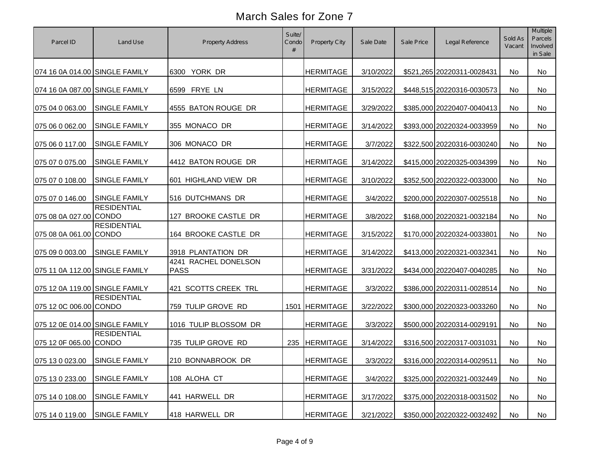| Parcel ID                      | Land Use                           | Property Address                    | Suite/<br>Condo | Property City    | Sale Date | Sale Price | Legal Reference            | Sold As<br>Vacant | Multiple<br>Parcels<br>Involved<br>in Sale |
|--------------------------------|------------------------------------|-------------------------------------|-----------------|------------------|-----------|------------|----------------------------|-------------------|--------------------------------------------|
| 074 16 0A 014.00 SINGLE FAMILY |                                    | YORK DR<br>6300                     |                 | <b>HERMITAGE</b> | 3/10/2022 |            | \$521,265 20220311-0028431 | No                | No                                         |
| 074 16 0A 087.00 SINGLE FAMILY |                                    | 6599 FRYE LN                        |                 | <b>HERMITAGE</b> | 3/15/2022 |            | \$448,515 20220316-0030573 | No                | No                                         |
| 075 04 0 063.00                | <b>SINGLE FAMILY</b>               | 4555 BATON ROUGE DR                 |                 | <b>HERMITAGE</b> | 3/29/2022 |            | \$385,000 20220407-0040413 | No                | No                                         |
| 075 06 0 062.00                | <b>SINGLE FAMILY</b>               | 355 MONACO DR                       |                 | <b>HERMITAGE</b> | 3/14/2022 |            | \$393,000 20220324-0033959 | No                | No                                         |
| 075 06 0 117.00                | <b>SINGLE FAMILY</b>               | 306 MONACO DR                       |                 | <b>HERMITAGE</b> | 3/7/2022  |            | \$322,500 20220316-0030240 | No                | No                                         |
| 075 07 0 075.00                | <b>SINGLE FAMILY</b>               | 4412 BATON ROUGE DR                 |                 | <b>HERMITAGE</b> | 3/14/2022 |            | \$415,000 20220325-0034399 | No                | No                                         |
| 075 07 0 108.00                | <b>SINGLE FAMILY</b>               | 601 HIGHLAND VIEW DR                |                 | <b>HERMITAGE</b> | 3/10/2022 |            | \$352,500 20220322-0033000 | No                | No                                         |
| 075 07 0 146.00                | <b>SINGLE FAMILY</b>               | 516 DUTCHMANS DR                    |                 | <b>HERMITAGE</b> | 3/4/2022  |            | \$200,000 20220307-0025518 | No                | No                                         |
| 075 08 0A 027.00 CONDO         | <b>RESIDENTIAL</b>                 | 127 BROOKE CASTLE DR                |                 | <b>HERMITAGE</b> | 3/8/2022  |            | \$168,000 20220321-0032184 | <b>No</b>         | No                                         |
| 075 08 0A 061.00               | <b>RESIDENTIAL</b><br><b>CONDO</b> | 164 BROOKE CASTLE DR                |                 | <b>HERMITAGE</b> | 3/15/2022 |            | \$170,000 20220324-0033801 | No                | No                                         |
| 075 09 0 003.00                | <b>SINGLE FAMILY</b>               | 3918 PLANTATION DR                  |                 | <b>HERMITAGE</b> | 3/14/2022 |            | \$413,000 20220321-0032341 | No                | No                                         |
| 075 11 0A 112.00 SINGLE FAMILY |                                    | 4241 RACHEL DONELSON<br><b>PASS</b> |                 | <b>HERMITAGE</b> | 3/31/2022 |            | \$434,000 20220407-0040285 | No                | No                                         |
| 075 12 0A 119.00 SINGLE FAMILY |                                    | 421 SCOTTS CREEK TRL                |                 | <b>HERMITAGE</b> | 3/3/2022  |            | \$386,000 20220311-0028514 | No                | No                                         |
| 075 12 0C 006.00 CONDO         | <b>RESIDENTIAL</b>                 | 759 TULIP GROVE RD                  |                 | 1501 HERMITAGE   | 3/22/2022 |            | \$300,000 20220323-0033260 | No                | No                                         |
| 075 12 0E 014.00 SINGLE FAMILY |                                    | 1016 TULIP BLOSSOM DR               |                 | <b>HERMITAGE</b> | 3/3/2022  |            | \$500,000 20220314-0029191 | <b>No</b>         | No                                         |
| 075 12 0F 065.00 CONDO         | <b>RESIDENTIAL</b>                 | 735 TULIP GROVE RD                  | 235             | <b>HERMITAGE</b> | 3/14/2022 |            | \$316,500 20220317-0031031 | No                | No                                         |
| 075 13 0 023.00 SINGLE FAMILY  |                                    | 210 BONNABROOK DR                   |                 | <b>HERMITAGE</b> | 3/3/2022  |            | \$316,000 20220314-0029511 | No                | No                                         |
| 075 13 0 233.00                | SINGLE FAMILY                      | 108 ALOHA CT                        |                 | <b>HERMITAGE</b> | 3/4/2022  |            | \$325,000 20220321-0032449 | No                | No                                         |
| 075 14 0 108.00                | <b>SINGLE FAMILY</b>               | 441 HARWELL DR                      |                 | <b>HERMITAGE</b> | 3/17/2022 |            | \$375,000 20220318-0031502 | No                | No                                         |
| 075 14 0 119.00                | SINGLE FAMILY                      | 418 HARWELL DR                      |                 | <b>HERMITAGE</b> | 3/21/2022 |            | \$350,000 20220322-0032492 | No                | No                                         |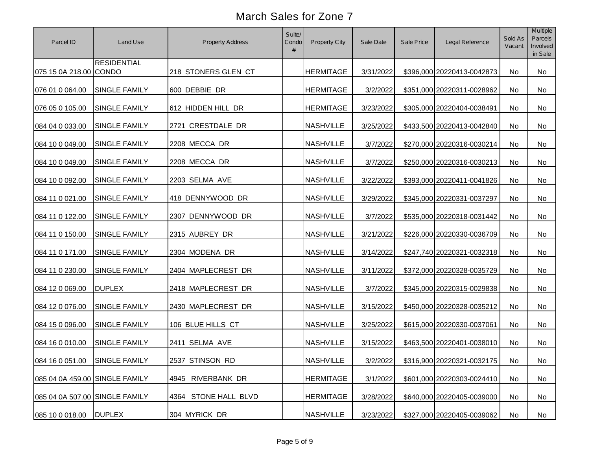| Parcel ID                      | Land Use             | <b>Property Address</b> | Suite/<br>Condo | Property City    | Sale Date | Sale Price | Legal Reference            | Sold As<br>Vacant | Multiple<br>Parcels<br>Involved<br>in Sale |
|--------------------------------|----------------------|-------------------------|-----------------|------------------|-----------|------------|----------------------------|-------------------|--------------------------------------------|
| 075 15 0A 218.00 CONDO         | <b>RESIDENTIAL</b>   | 218 STONERS GLEN CT     |                 | <b>HERMITAGE</b> | 3/31/2022 |            | \$396,000 20220413-0042873 | No                | No                                         |
| 076 01 0 064.00                | <b>SINGLE FAMILY</b> | 600 DEBBIE DR           |                 | <b>HERMITAGE</b> | 3/2/2022  |            | \$351,000 20220311-0028962 | No                | No                                         |
| 076 05 0 105.00                | <b>SINGLE FAMILY</b> | 612 HIDDEN HILL DR      |                 | <b>HERMITAGE</b> | 3/23/2022 |            | \$305,000 20220404-0038491 | No                | No                                         |
| 084 04 0 033.00                | <b>SINGLE FAMILY</b> | 2721 CRESTDALE DR       |                 | <b>NASHVILLE</b> | 3/25/2022 |            | \$433,500 20220413-0042840 | No                | No                                         |
| 084 10 0 049.00                | <b>SINGLE FAMILY</b> | 2208 MECCA DR           |                 | <b>NASHVILLE</b> | 3/7/2022  |            | \$270,000 20220316-0030214 | No                | No                                         |
| 084 10 0 049.00                | <b>SINGLE FAMILY</b> | 2208 MECCA DR           |                 | <b>NASHVILLE</b> | 3/7/2022  |            | \$250,000 20220316-0030213 | No                | No                                         |
| 084 10 0 092.00                | <b>SINGLE FAMILY</b> | 2203 SELMA AVE          |                 | <b>NASHVILLE</b> | 3/22/2022 |            | \$393,000 20220411-0041826 | No                | No                                         |
| 084 11 0 021.00                | <b>SINGLE FAMILY</b> | 418 DENNYWOOD DR        |                 | <b>NASHVILLE</b> | 3/29/2022 |            | \$345,000 20220331-0037297 | No                | No                                         |
| 084 11 0 122.00                | <b>SINGLE FAMILY</b> | 2307 DENNYWOOD DR       |                 | <b>NASHVILLE</b> | 3/7/2022  |            | \$535,000 20220318-0031442 | No                | No                                         |
| 084 11 0 150.00                | <b>SINGLE FAMILY</b> | 2315 AUBREY DR          |                 | <b>NASHVILLE</b> | 3/21/2022 |            | \$226,000 20220330-0036709 | No                | No                                         |
| 084 11 0 171.00                | <b>SINGLE FAMILY</b> | 2304 MODENA DR          |                 | <b>NASHVILLE</b> | 3/14/2022 |            | \$247,740 20220321-0032318 | No                | No                                         |
| 084 11 0 230.00                | <b>SINGLE FAMILY</b> | 2404 MAPLECREST DR      |                 | <b>NASHVILLE</b> | 3/11/2022 |            | \$372,000 20220328-0035729 | No                | No                                         |
| 084 12 0 069.00                | <b>DUPLEX</b>        | 2418 MAPLECREST DR      |                 | <b>NASHVILLE</b> | 3/7/2022  |            | \$345,000 20220315-0029838 | No                | No                                         |
| 084 12 0 076.00                | SINGLE FAMILY        | 2430 MAPLECREST DR      |                 | <b>NASHVILLE</b> | 3/15/2022 |            | \$450,000 20220328-0035212 | No                | No                                         |
| 084 15 0 096.00                | <b>SINGLE FAMILY</b> | 106 BLUE HILLS CT       |                 | <b>NASHVILLE</b> | 3/25/2022 |            | \$615,000 20220330-0037061 | No                | No                                         |
| 084 16 0 010.00                | <b>SINGLE FAMILY</b> | 2411 SELMA AVE          |                 | <b>NASHVILLE</b> | 3/15/2022 |            | \$463,500 20220401-0038010 | No                | No                                         |
| 084 16 0 051.00                | SINGLE FAMILY        | 2537 STINSON RD         |                 | <b>NASHVILLE</b> | 3/2/2022  |            | \$316,900 20220321-0032175 | No                | No                                         |
| 085 04 0A 459.00 SINGLE FAMILY |                      | 4945 RIVERBANK DR       |                 | <b>HERMITAGE</b> | 3/1/2022  |            | \$601,000 20220303-0024410 | No                | No                                         |
| 085 04 0A 507.00 SINGLE FAMILY |                      | 4364 STONE HALL BLVD    |                 | <b>HERMITAGE</b> | 3/28/2022 |            | \$640,000 20220405-0039000 | No                | No                                         |
| 085 10 0 018.00                | <b>DUPLEX</b>        | 304 MYRICK DR           |                 | <b>NASHVILLE</b> | 3/23/2022 |            | \$327,000 20220405-0039062 | No                | No                                         |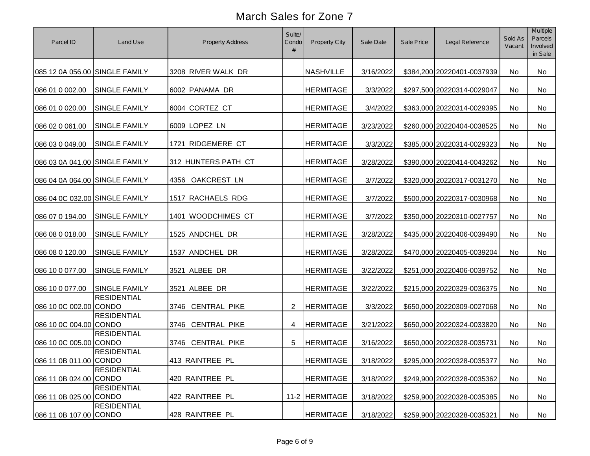| Parcel ID                      | Land Use             | <b>Property Address</b> | Suite/<br>Condo<br># | <b>Property City</b> | Sale Date | Sale Price | Legal Reference            | Sold As<br>Vacant | <b>Multiple</b><br>Parcels<br>Involved<br>in Sale |
|--------------------------------|----------------------|-------------------------|----------------------|----------------------|-----------|------------|----------------------------|-------------------|---------------------------------------------------|
| 085 12 0A 056.00 SINGLE FAMILY |                      | 3208 RIVER WALK DR      |                      | <b>NASHVILLE</b>     | 3/16/2022 |            | \$384,200 20220401-0037939 | No                | No                                                |
| 086 01 0 002.00                | <b>SINGLE FAMILY</b> | 6002 PANAMA DR          |                      | <b>HERMITAGE</b>     | 3/3/2022  |            | \$297,500 20220314-0029047 | No                | No                                                |
| 086 01 0 020.00                | SINGLE FAMILY        | 6004 CORTEZ CT          |                      | <b>HERMITAGE</b>     | 3/4/2022  |            | \$363,000 20220314-0029395 | No                | No                                                |
| 086 02 0 061.00                | SINGLE FAMILY        | 6009 LOPEZ LN           |                      | <b>HERMITAGE</b>     | 3/23/2022 |            | \$260,000 20220404-0038525 | No                | No                                                |
| 086 03 0 049.00                | SINGLE FAMILY        | 1721 RIDGEMERE CT       |                      | <b>HERMITAGE</b>     | 3/3/2022  |            | \$385,000 20220314-0029323 | No                | No                                                |
| 086 03 0A 041.00 SINGLE FAMILY |                      | 312 HUNTERS PATH CT     |                      | <b>HERMITAGE</b>     | 3/28/2022 |            | \$390,000 20220414-0043262 | No                | No                                                |
| 086 04 0A 064.00 SINGLE FAMILY |                      | 4356 OAKCREST LN        |                      | <b>HERMITAGE</b>     | 3/7/2022  |            | \$320,000 20220317-0031270 | No                | No                                                |
| 086 04 0C 032.00 SINGLE FAMILY |                      | 1517 RACHAELS RDG       |                      | <b>HERMITAGE</b>     | 3/7/2022  |            | \$500,000 20220317-0030968 | No                | No                                                |
| 086 07 0 194.00                | <b>SINGLE FAMILY</b> | 1401 WOODCHIMES CT      |                      | <b>HERMITAGE</b>     | 3/7/2022  |            | \$350,000 20220310-0027757 | No                | No                                                |
| 086 08 0 018.00                | SINGLE FAMILY        | 1525 ANDCHEL DR         |                      | <b>HERMITAGE</b>     | 3/28/2022 |            | \$435,000 20220406-0039490 | No                | No                                                |
| 086 08 0 120.00                | SINGLE FAMILY        | 1537 ANDCHEL DR         |                      | <b>HERMITAGE</b>     | 3/28/2022 |            | \$470,000 20220405-0039204 | No                | No                                                |
| 086 10 0 077.00                | SINGLE FAMILY        | 3521 ALBEE DR           |                      | <b>HERMITAGE</b>     | 3/22/2022 |            | \$251,000 20220406-0039752 | No                | No                                                |
| 086 10 0 077.00                | <b>SINGLE FAMILY</b> | 3521 ALBEE DR           |                      | <b>HERMITAGE</b>     | 3/22/2022 |            | \$215,000 20220329-0036375 | No                | No                                                |
| 086 10 0C 002.00 CONDO         | <b>RESIDENTIAL</b>   | 3746 CENTRAL PIKE       | $\overline{2}$       | <b>HERMITAGE</b>     | 3/3/2022  |            | \$650,000 20220309-0027068 | No                | No                                                |
| 086 10 0C 004.00 CONDO         | <b>RESIDENTIAL</b>   | 3746 CENTRAL PIKE       | 4                    | <b>HERMITAGE</b>     | 3/21/2022 |            | \$650,000 20220324-0033820 | No                | No                                                |
| 086 10 0C 005.00 CONDO         | <b>RESIDENTIAL</b>   | 3746 CENTRAL PIKE       | 5                    | <b>HERMITAGE</b>     | 3/16/2022 |            | \$650,000 20220328-0035731 | <b>No</b>         | No                                                |
| 086 11 0B 011.00 CONDO         | <b>RESIDENTIAL</b>   | 413 RAINTREE PL         |                      | <b>HERMITAGE</b>     | 3/18/2022 |            | \$295,000 20220328-0035377 | No                | No                                                |
| 086 11 0B 024.00 CONDO         | <b>RESIDENTIAL</b>   | 420 RAINTREE PL         |                      | <b>HERMITAGE</b>     | 3/18/2022 |            | \$249,900 20220328-0035362 | No                | No                                                |
| 086 11 0B 025.00 CONDO         | <b>RESIDENTIAL</b>   | 422 RAINTREE PL         |                      | 11-2 HERMITAGE       | 3/18/2022 |            | \$259,900 20220328-0035385 | No                | No                                                |
| 086 11 0B 107.00 CONDO         | <b>RESIDENTIAL</b>   | 428 RAINTREE PL         |                      | <b>HERMITAGE</b>     | 3/18/2022 |            | \$259,900 20220328-0035321 | No                | No                                                |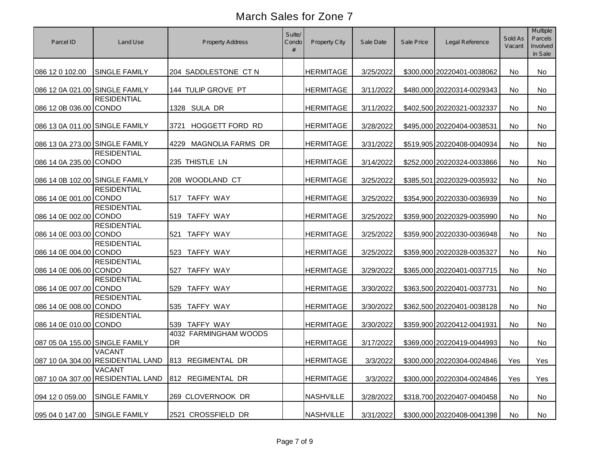| Parcel ID                      | Land Use                                           | <b>Property Address</b>            | Suite/<br>Condo | <b>Property City</b> | Sale Date | Sale Price | Legal Reference            | Sold As<br>Vacant | Multiple<br>Parcels<br>Involved<br>in Sale |
|--------------------------------|----------------------------------------------------|------------------------------------|-----------------|----------------------|-----------|------------|----------------------------|-------------------|--------------------------------------------|
| 086 12 0 102.00                | <b>SINGLE FAMILY</b>                               | 204 SADDLESTONE CT N               |                 | <b>HERMITAGE</b>     | 3/25/2022 |            | \$300,000 20220401-0038062 | No                | No                                         |
| 086 12 0A 021.00 SINGLE FAMILY |                                                    | 144 TULIP GROVE PT                 |                 | <b>HERMITAGE</b>     | 3/11/2022 |            | \$480,000 20220314-0029343 | No                | No                                         |
| 086 12 0B 036.00 CONDO         | <b>RESIDENTIAL</b>                                 | 1328 SULA DR                       |                 | <b>HERMITAGE</b>     | 3/11/2022 |            | \$402,500 20220321-0032337 | No                | No                                         |
| 086 13 0A 011.00 SINGLE FAMILY |                                                    | <b>HOGGETT FORD RD</b><br>3721     |                 | <b>HERMITAGE</b>     | 3/28/2022 |            | \$495,000 20220404-0038531 | No                | No                                         |
| 086 13 0A 273.00 SINGLE FAMILY |                                                    | <b>MAGNOLIA FARMS DR</b><br>4229   |                 | <b>HERMITAGE</b>     | 3/31/2022 |            | \$519,905 20220408-0040934 | No                | No                                         |
| 086 14 0A 235.00 CONDO         | <b>RESIDENTIAL</b>                                 | 235 THISTLE LN                     |                 | <b>HERMITAGE</b>     | 3/14/2022 |            | \$252,000 20220324-0033866 | No                | No                                         |
| 086 14 0B 102.00 SINGLE FAMILY |                                                    | 208 WOODLAND CT                    |                 | <b>HERMITAGE</b>     | 3/25/2022 |            | \$385,501 20220329-0035932 | No                | No                                         |
| 086 14 0E 001.00 CONDO         | <b>RESIDENTIAL</b>                                 | 517 TAFFY WAY                      |                 | <b>HERMITAGE</b>     | 3/25/2022 |            | \$354,900 20220330-0036939 | <b>No</b>         | No                                         |
| 086 14 0E 002.00 CONDO         | <b>RESIDENTIAL</b>                                 | 519 TAFFY WAY                      |                 | <b>HERMITAGE</b>     | 3/25/2022 |            | \$359,900 20220329-0035990 | <b>No</b>         | No                                         |
| 086 14 0E 003.00 CONDO         | <b>RESIDENTIAL</b>                                 | <b>TAFFY WAY</b><br>521            |                 | <b>HERMITAGE</b>     | 3/25/2022 |            | \$359,900 20220330-0036948 | No                | No                                         |
| 086 14 0E 004.00 CONDO         | <b>RESIDENTIAL</b>                                 | <b>TAFFY WAY</b><br>523            |                 | <b>HERMITAGE</b>     | 3/25/2022 |            | \$359,900 20220328-0035327 | No                | No                                         |
| 086 14 0E 006.00 CONDO         | <b>RESIDENTIAL</b>                                 | <b>TAFFY WAY</b><br>527            |                 | <b>HERMITAGE</b>     | 3/29/2022 |            | \$365,000 20220401-0037715 | No                | No                                         |
| 086 14 0E 007.00 CONDO         | <b>RESIDENTIAL</b>                                 | <b>TAFFY WAY</b><br>529            |                 | <b>HERMITAGE</b>     | 3/30/2022 |            | \$363,500 20220401-0037731 | No                | No                                         |
| 086 14 0E 008.00 CONDO         | <b>RESIDENTIAL</b>                                 | 535 TAFFY WAY                      |                 | <b>HERMITAGE</b>     | 3/30/2022 |            | \$362,500 20220401-0038128 | <b>No</b>         | No                                         |
| 086 14 0E 010.00 CONDO         | <b>RESIDENTIAL</b>                                 | 539 TAFFY WAY                      |                 | <b>HERMITAGE</b>     | 3/30/2022 |            | \$359,900 20220412-0041931 | <b>No</b>         | No                                         |
| 087 05 0A 155.00 SINGLE FAMILY |                                                    | 4032 FARMINGHAM WOODS<br><b>DR</b> |                 | <b>HERMITAGE</b>     | 3/17/2022 |            | \$369,000 20220419-0044993 | No                | No                                         |
|                                | <b>VACANT</b><br>087 10 0A 304.00 RESIDENTIAL LAND | 813 REGIMENTAL DR                  |                 | <b>HERMITAGE</b>     | 3/3/2022  |            | \$300,000 20220304-0024846 | Yes               | Yes                                        |
|                                | <b>VACANT</b><br>087 10 0A 307.00 RESIDENTIAL LAND | 812 REGIMENTAL DR                  |                 | <b>HERMITAGE</b>     | 3/3/2022  |            | \$300,000 20220304-0024846 | Yes               | Yes                                        |
| 094 12 0 059.00                | <b>SINGLE FAMILY</b>                               | 269 CLOVERNOOK DR                  |                 | <b>NASHVILLE</b>     | 3/28/2022 |            | \$318,700 20220407-0040458 | No                | No                                         |
| 095 04 0 147.00                | <b>SINGLE FAMILY</b>                               | 2521 CROSSFIELD DR                 |                 | <b>NASHVILLE</b>     | 3/31/2022 |            | \$300,000 20220408-0041398 | No                | No                                         |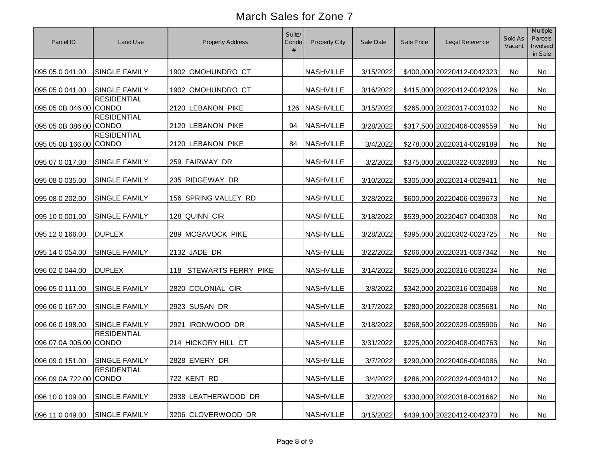| Parcel ID                     | Land Use             | <b>Property Address</b> | Suite/<br>Condo<br># | <b>Property City</b> | Sale Date | Sale Price | Legal Reference            | Sold As<br>Vacant | <b>Multiple</b><br>Parcels<br>Involved<br>in Sale |
|-------------------------------|----------------------|-------------------------|----------------------|----------------------|-----------|------------|----------------------------|-------------------|---------------------------------------------------|
| 095 05 0 041.00               | <b>SINGLE FAMILY</b> | 1902 OMOHUNDRO CT       |                      | <b>NASHVILLE</b>     | 3/15/2022 |            | \$400,000 20220412-0042323 | No                | No                                                |
| 095 05 0 041.00               | <b>SINGLE FAMILY</b> | 1902 OMOHUNDRO CT       |                      | <b>NASHVILLE</b>     | 3/16/2022 |            | \$415,000 20220412-0042326 | No                | No                                                |
| 095 05 0B 046.00 CONDO        | <b>RESIDENTIAL</b>   | 2120 LEBANON PIKE       | 126                  | <b>NASHVILLE</b>     | 3/15/2022 |            | \$265,000 20220317-0031032 | No                | No                                                |
| 095 05 0B 086.00 CONDO        | <b>RESIDENTIAL</b>   | 2120 LEBANON PIKE       | 94                   | <b>NASHVILLE</b>     | 3/28/2022 |            | \$317,500 20220406-0039559 | No                | No                                                |
| 095 05 0B 166.00 CONDO        | <b>RESIDENTIAL</b>   | 2120 LEBANON PIKE       | 84                   | <b>NASHVILLE</b>     | 3/4/2022  |            | \$278,000 20220314-0029189 | No                | No                                                |
| 095 07 0 017.00               | <b>SINGLE FAMILY</b> | 259 FAIRWAY DR          |                      | <b>NASHVILLE</b>     | 3/2/2022  |            | \$375,000 20220322-0032683 | No                | No                                                |
| 095 08 0 035.00               | SINGLE FAMILY        | 235 RIDGEWAY DR         |                      | <b>NASHVILLE</b>     | 3/10/2022 |            | \$305,000 20220314-0029411 | No                | No                                                |
| 095 08 0 202.00               | SINGLE FAMILY        | 156 SPRING VALLEY RD    |                      | <b>NASHVILLE</b>     | 3/28/2022 |            | \$600,000 20220406-0039673 | No                | No                                                |
| 095 10 0 001.00               | SINGLE FAMILY        | 128 QUINN CIR           |                      | <b>NASHVILLE</b>     | 3/18/2022 |            | \$539,900 20220407-0040308 | No                | No                                                |
| 095 12 0 166.00               | <b>DUPLEX</b>        | 289 MCGAVOCK PIKE       |                      | <b>NASHVILLE</b>     | 3/28/2022 |            | \$395,000 20220302-0023725 | No                | No                                                |
| 095 14 0 054.00               | SINGLE FAMILY        | 2132 JADE DR            |                      | <b>NASHVILLE</b>     | 3/22/2022 |            | \$266,000 20220331-0037342 | No                | No                                                |
| 096 02 0 044.00               | <b>DUPLEX</b>        | 118 STEWARTS FERRY PIKE |                      | <b>NASHVILLE</b>     | 3/14/2022 |            | \$625,000 20220316-0030234 | No                | No                                                |
| 096 05 0 111.00               | SINGLE FAMILY        | 2820 COLONIAL CIR       |                      | <b>NASHVILLE</b>     | 3/8/2022  |            | \$342,000 20220316-0030468 | No                | No                                                |
| 096 06 0 167.00               | SINGLE FAMILY        | 2923 SUSAN DR           |                      | <b>NASHVILLE</b>     | 3/17/2022 |            | \$280,000 20220328-0035681 | No                | No                                                |
| 096 06 0 198.00               | SINGLE FAMILY        | 2921 IRONWOOD DR        |                      | <b>NASHVILLE</b>     | 3/18/2022 |            | \$268,500 20220329-0035906 | <b>No</b>         | No                                                |
| 096 07 0A 005.00 CONDO        | <b>RESIDENTIAL</b>   | 214 HICKORY HILL CT     |                      | <b>NASHVILLE</b>     | 3/31/2022 |            | \$225,000 20220408-0040763 | No                | No                                                |
| 096 09 0 151.00 SINGLE FAMILY |                      | 2828 EMERY DR           |                      | NASHVILLE            | 3/7/2022  |            | \$290,000 20220406-0040086 | No                | No                                                |
| 096 09 0A 722.00 CONDO        | <b>RESIDENTIAL</b>   | 722 KENT RD             |                      | <b>NASHVILLE</b>     | 3/4/2022  |            | \$286,200 20220324-0034012 | No                | No                                                |
| 096 10 0 109.00               | <b>SINGLE FAMILY</b> | 2938 LEATHERWOOD DR     |                      | <b>NASHVILLE</b>     | 3/2/2022  |            | \$330,000 20220318-0031662 | No                | No                                                |
| 096 11 0 049.00               | <b>SINGLE FAMILY</b> | 3206 CLOVERWOOD DR      |                      | <b>NASHVILLE</b>     | 3/15/2022 |            | \$439,100 20220412-0042370 | No                | No                                                |